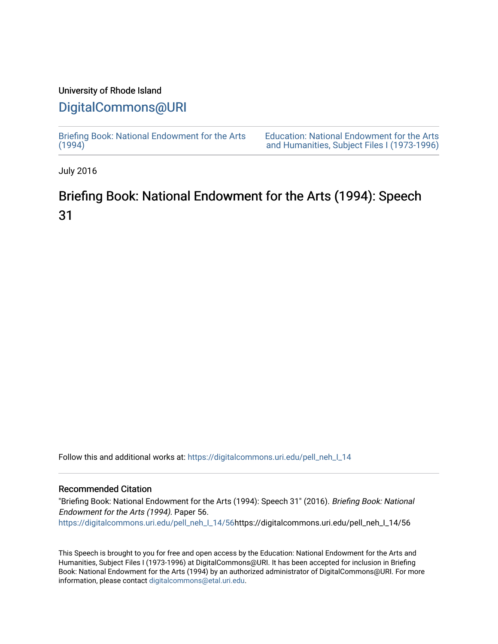## University of Rhode Island

## [DigitalCommons@URI](https://digitalcommons.uri.edu/)

[Briefing Book: National Endowment for the Arts](https://digitalcommons.uri.edu/pell_neh_I_14)  $(1994)$ [Education: National Endowment for the Arts](https://digitalcommons.uri.edu/pell_neh_I)  [and Humanities, Subject Files I \(1973-1996\)](https://digitalcommons.uri.edu/pell_neh_I) 

July 2016

## Briefing Book: National Endowment for the Arts (1994): Speech 31

Follow this and additional works at: [https://digitalcommons.uri.edu/pell\\_neh\\_I\\_14](https://digitalcommons.uri.edu/pell_neh_I_14?utm_source=digitalcommons.uri.edu%2Fpell_neh_I_14%2F56&utm_medium=PDF&utm_campaign=PDFCoverPages) 

## Recommended Citation

"Briefing Book: National Endowment for the Arts (1994): Speech 31" (2016). Briefing Book: National Endowment for the Arts (1994). Paper 56. [https://digitalcommons.uri.edu/pell\\_neh\\_I\\_14/56h](https://digitalcommons.uri.edu/pell_neh_I_14/56?utm_source=digitalcommons.uri.edu%2Fpell_neh_I_14%2F56&utm_medium=PDF&utm_campaign=PDFCoverPages)ttps://digitalcommons.uri.edu/pell\_neh\_I\_14/56

This Speech is brought to you for free and open access by the Education: National Endowment for the Arts and Humanities, Subject Files I (1973-1996) at DigitalCommons@URI. It has been accepted for inclusion in Briefing Book: National Endowment for the Arts (1994) by an authorized administrator of DigitalCommons@URI. For more information, please contact [digitalcommons@etal.uri.edu.](mailto:digitalcommons@etal.uri.edu)